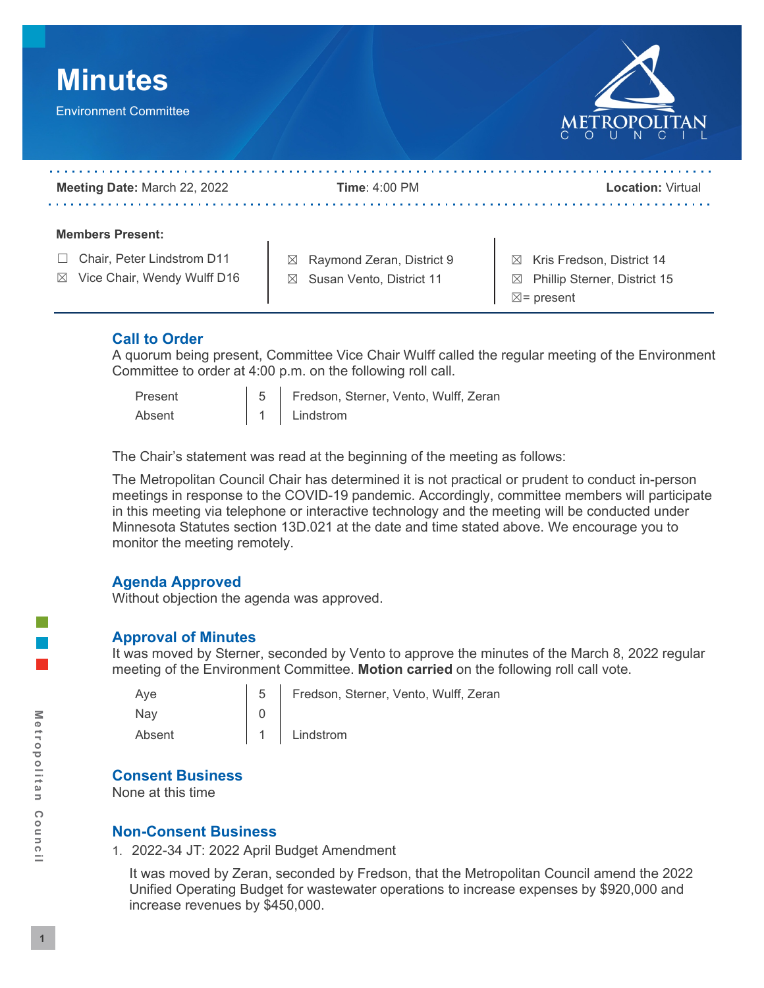

### **Call to Order**

 A quorum being present, Committee Vice Chair Wulff called the regular meeting of the Environment Committee to order at 4:00 p.m. on the following roll call.<br>Present  $\begin{vmatrix} 5 \end{vmatrix}$  Fredson, Sterner, Vento, Wulff, Zeran

- 
- 

Absent 1 Lindstrom

The Chair's statement was read at the beginning of the meeting as follows:

 The Metropolitan Council Chair has determined it is not practical or prudent to conduct in-person meetings in response to the COVID-19 pandemic. Accordingly, committee members will participate in this meeting via telephone or interactive technology and the meeting will be conducted under Minnesota Statutes section 13D.021 at the date and time stated above. We encourage you to monitor the meeting remotely.

# **Agenda Approved**

Without objection the agenda was approved.

### **Approval of Minutes**

 It was moved by Sterner, seconded by Vento to approve the minutes of the March 8, 2022 regular meeting of the Environment Committee. **Motion carried** on the following roll call vote.

Vento, Wulff, Zeran

| Aye    | Fredson, Sterner, |
|--------|-------------------|
| Nav    |                   |
| Absent | Lindstrom         |

### **Consent Business**

None at this time

### **Non-Consent Business**

1. 2022-34 JT: 2022 April Budget Amendment

 It was moved by Zeran, seconded by Fredson, that the Metropolitan Council amend the 2022 Unified Operating Budget for wastewater operations to increase expenses by \$920,000 and increase revenues by \$450,000.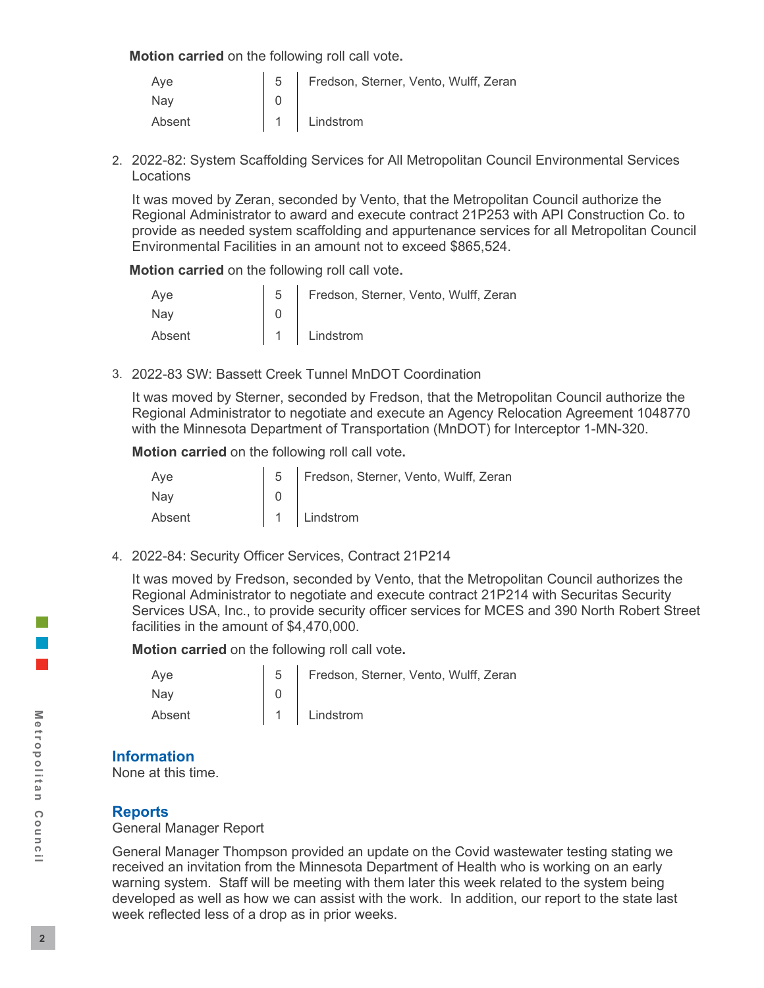**Motion carried** on the following roll call vote**.** 

| Ave    | 5   Fredson, Sterner, Vento, Wulff, Zeran |
|--------|-------------------------------------------|
| Nay    |                                           |
| Absent | 1 Lindstrom                               |

2. 2022-82: System Scaffolding Services for All Metropolitan Council Environmental Services **Locations** 

 It was moved by Zeran, seconded by Vento, that the Metropolitan Council authorize the Environmental Facilities in an amount not to exceed \$865,524. Regional Administrator to award and execute contract 21P253 with API Construction Co. to provide as needed system scaffolding and appurtenance services for all Metropolitan Council

**Motion carried** on the following roll call vote**.** 

| Ave    | 5   Fredson, Sterner, Vento, Wulff, Zeran |
|--------|-------------------------------------------|
| Nay    |                                           |
| Absent | 1 Lindstrom                               |

3. 2022-83 SW: Bassett Creek Tunnel MnDOT Coordination

 It was moved by Sterner, seconded by Fredson, that the Metropolitan Council authorize the with the Minnesota Department of Transportation (MnDOT) for Interceptor 1-MN-320. Regional Administrator to negotiate and execute an Agency Relocation Agreement 1048770

**Motion carried** on the following roll call vote**.** 

| Ave    | 5   Fredson, Sterner, Vento, Wulff, Zeran |
|--------|-------------------------------------------|
| Nav    |                                           |
| Absent | 1 Lindstrom                               |

4. 2022-84: Security Officer Services, Contract 21P214

 It was moved by Fredson, seconded by Vento, that the Metropolitan Council authorizes the Services USA, Inc., to provide security officer services for MCES and 390 North Robert Street facilities in the amount of \$4,470,000. Regional Administrator to negotiate and execute contract 21P214 with Securitas Security

**Motion carried** on the following roll call vote**.** 

| Aye    | 5   Fredson, Sterner, Vento, Wulff, Zeran |
|--------|-------------------------------------------|
| Nay    |                                           |
| Absent | 1 Lindstrom                               |

### **Information**

None at this time.

### **Reports**

General Manager Report

 developed as well as how we can assist with the work. In addition, our report to the state last week reflected less of a drop as in prior weeks. General Manager Thompson provided an update on the Covid wastewater testing stating we received an invitation from the Minnesota Department of Health who is working on an early warning system. Staff will be meeting with them later this week related to the system being